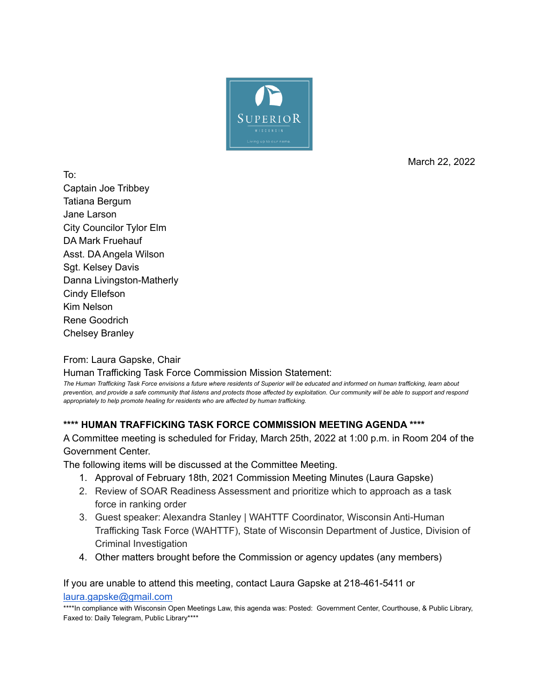

March 22, 2022

To: Captain Joe Tribbey Tatiana Bergum Jane Larson City Councilor Tylor Elm DA Mark Fruehauf Asst. DA Angela Wilson Sgt. Kelsey Davis Danna Livingston-Matherly Cindy Ellefson Kim Nelson Rene Goodrich Chelsey Branley

From: Laura Gapske, Chair

Human Trafficking Task Force Commission Mission Statement:

The Human Trafficking Task Force envisions a future where residents of Superior will be educated and informed on human trafficking, learn about prevention, and provide a safe community that listens and protects those affected by exploitation. Our community will be able to support and respond *appropriately to help promote healing for residents who are affected by human trafficking.*

## **\*\*\*\* HUMAN TRAFFICKING TASK FORCE COMMISSION MEETING AGENDA \*\*\*\***

A Committee meeting is scheduled for Friday, March 25th, 2022 at 1:00 p.m. in Room 204 of the Government Center.

The following items will be discussed at the Committee Meeting.

- 1. Approval of February 18th, 2021 Commission Meeting Minutes (Laura Gapske)
- 2. Review of SOAR Readiness Assessment and prioritize which to approach as a task force in ranking order
- 3. Guest speaker: Alexandra Stanley | WAHTTF Coordinator, Wisconsin Anti-Human Trafficking Task Force (WAHTTF), State of Wisconsin Department of Justice, Division of Criminal Investigation
- 4. Other matters brought before the Commission or agency updates (any members)

If you are unable to attend this meeting, contact Laura Gapske at 218-461-5411 or [laura.gapske@gmail.com](mailto:laura.gapske@gmail.com)

\*\*\*\*In compliance with Wisconsin Open Meetings Law, this agenda was: Posted: Government Center, Courthouse, & Public Library, Faxed to: Daily Telegram, Public Library\*\*\*\*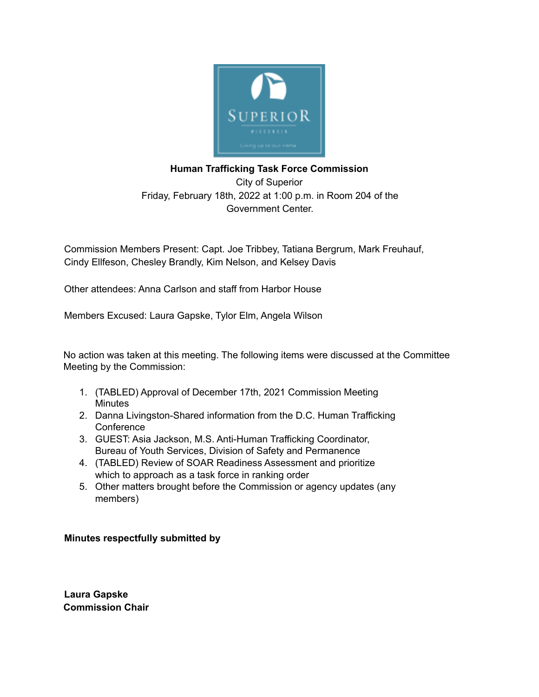

## **Human Trafficking Task Force Commission**

City of Superior Friday, February 18th, 2022 at 1:00 p.m. in Room 204 of the Government Center.

Commission Members Present: Capt. Joe Tribbey, Tatiana Bergrum, Mark Freuhauf, Cindy Ellfeson, Chesley Brandly, Kim Nelson, and Kelsey Davis

Other attendees: Anna Carlson and staff from Harbor House

Members Excused: Laura Gapske, Tylor Elm, Angela Wilson

No action was taken at this meeting. The following items were discussed at the Committee Meeting by the Commission:

- 1. (TABLED) Approval of December 17th, 2021 Commission Meeting **Minutes**
- 2. Danna Livingston-Shared information from the D.C. Human Trafficking **Conference**
- 3. GUEST: Asia Jackson, M.S. Anti-Human Trafficking Coordinator, Bureau of Youth Services, Division of Safety and Permanence
- 4. (TABLED) Review of SOAR Readiness Assessment and prioritize which to approach as a task force in ranking order
- 5. Other matters brought before the Commission or agency updates (any members)

## **Minutes respectfully submitted by**

**Laura Gapske Commission Chair**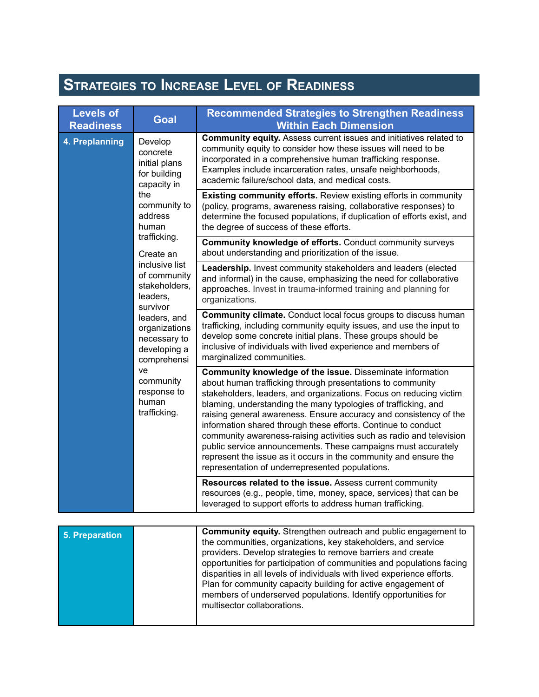## **STRATEGIES TO INCREASE LEVEL OF READINESS**

| <b>Levels of</b><br><b>Readiness</b> | <b>Goal</b>                                                                                                                                 | <b>Recommended Strategies to Strengthen Readiness</b><br><b>Within Each Dimension</b>                                                                                                                                                                                                                                                                                                                                                                                                                                                                                                                                                                                |
|--------------------------------------|---------------------------------------------------------------------------------------------------------------------------------------------|----------------------------------------------------------------------------------------------------------------------------------------------------------------------------------------------------------------------------------------------------------------------------------------------------------------------------------------------------------------------------------------------------------------------------------------------------------------------------------------------------------------------------------------------------------------------------------------------------------------------------------------------------------------------|
| 4. Preplanning                       | Develop<br>concrete<br>initial plans<br>for building<br>capacity in<br>the<br>community to<br>address<br>human<br>trafficking.<br>Create an | Community equity. Assess current issues and initiatives related to<br>community equity to consider how these issues will need to be<br>incorporated in a comprehensive human trafficking response.<br>Examples include incarceration rates, unsafe neighborhoods,<br>academic failure/school data, and medical costs.                                                                                                                                                                                                                                                                                                                                                |
|                                      |                                                                                                                                             | <b>Existing community efforts.</b> Review existing efforts in community<br>(policy, programs, awareness raising, collaborative responses) to<br>determine the focused populations, if duplication of efforts exist, and<br>the degree of success of these efforts.                                                                                                                                                                                                                                                                                                                                                                                                   |
| leaders,<br>survivor                 |                                                                                                                                             | Community knowledge of efforts. Conduct community surveys<br>about understanding and prioritization of the issue.                                                                                                                                                                                                                                                                                                                                                                                                                                                                                                                                                    |
|                                      | inclusive list<br>of community<br>stakeholders,                                                                                             | Leadership. Invest community stakeholders and leaders (elected<br>and informal) in the cause, emphasizing the need for collaborative<br>approaches. Invest in trauma-informed training and planning for<br>organizations.                                                                                                                                                                                                                                                                                                                                                                                                                                            |
|                                      | leaders, and<br>organizations<br>necessary to<br>developing a<br>comprehensi                                                                | Community climate. Conduct local focus groups to discuss human<br>trafficking, including community equity issues, and use the input to<br>develop some concrete initial plans. These groups should be<br>inclusive of individuals with lived experience and members of<br>marginalized communities.                                                                                                                                                                                                                                                                                                                                                                  |
|                                      | ve<br>community<br>response to<br>human<br>trafficking.                                                                                     | Community knowledge of the issue. Disseminate information<br>about human trafficking through presentations to community<br>stakeholders, leaders, and organizations. Focus on reducing victim<br>blaming, understanding the many typologies of trafficking, and<br>raising general awareness. Ensure accuracy and consistency of the<br>information shared through these efforts. Continue to conduct<br>community awareness-raising activities such as radio and television<br>public service announcements. These campaigns must accurately<br>represent the issue as it occurs in the community and ensure the<br>representation of underrepresented populations. |
|                                      |                                                                                                                                             | Resources related to the issue. Assess current community<br>resources (e.g., people, time, money, space, services) that can be<br>leveraged to support efforts to address human trafficking.                                                                                                                                                                                                                                                                                                                                                                                                                                                                         |
|                                      |                                                                                                                                             |                                                                                                                                                                                                                                                                                                                                                                                                                                                                                                                                                                                                                                                                      |
| <b>5. Preparation</b>                |                                                                                                                                             | Community equity. Strengthen outreach and public engagement to<br>the communities, organizations, key stakeholders, and service<br>providers. Develop strategies to remove barriers and create<br>opportunities for participation of communities and populations facing<br>disparities in all levels of individuals with lived experience efforts.<br>Plan for community capacity building for active engagement of<br>members of underserved populations. Identify opportunities for<br>multisector collaborations.                                                                                                                                                 |